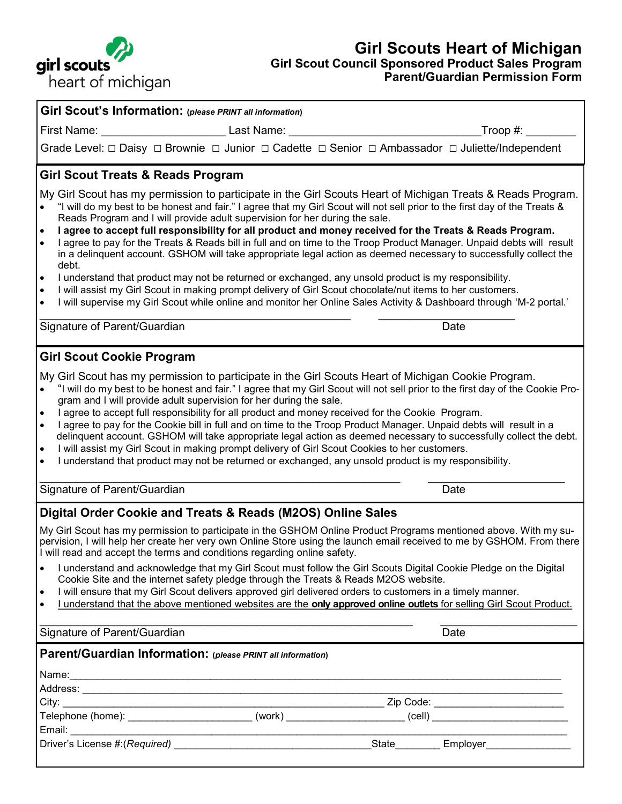

#### **Girl Scouts Heart of Michigan Girl Scout Council Sponsored Product Sales Program Parent/Guardian Permission Form**

| Girl Scout's Information: (please PRINT all information)                                                                                                                                                                                                                                                                                                                                                                                                                                                                                                                                                                                                                                                                                                                                                                                                                                                                |                                |  |
|-------------------------------------------------------------------------------------------------------------------------------------------------------------------------------------------------------------------------------------------------------------------------------------------------------------------------------------------------------------------------------------------------------------------------------------------------------------------------------------------------------------------------------------------------------------------------------------------------------------------------------------------------------------------------------------------------------------------------------------------------------------------------------------------------------------------------------------------------------------------------------------------------------------------------|--------------------------------|--|
|                                                                                                                                                                                                                                                                                                                                                                                                                                                                                                                                                                                                                                                                                                                                                                                                                                                                                                                         | _Troop #: $\rule{1em}{0.15mm}$ |  |
| Grade Level: $\Box$ Daisy $\Box$ Brownie $\Box$ Junior $\Box$ Cadette $\Box$ Senior $\Box$ Ambassador $\Box$ Juliette/Independent                                                                                                                                                                                                                                                                                                                                                                                                                                                                                                                                                                                                                                                                                                                                                                                       |                                |  |
| <b>Girl Scout Treats &amp; Reads Program</b>                                                                                                                                                                                                                                                                                                                                                                                                                                                                                                                                                                                                                                                                                                                                                                                                                                                                            |                                |  |
| My Girl Scout has my permission to participate in the Girl Scouts Heart of Michigan Treats & Reads Program.<br>"I will do my best to be honest and fair." I agree that my Girl Scout will not sell prior to the first day of the Treats &<br>$\bullet$<br>Reads Program and I will provide adult supervision for her during the sale.<br>I agree to accept full responsibility for all product and money received for the Treats & Reads Program.<br>$\bullet$<br>I agree to pay for the Treats & Reads bill in full and on time to the Troop Product Manager. Unpaid debts will result<br>$\bullet$<br>in a delinquent account. GSHOM will take appropriate legal action as deemed necessary to successfully collect the<br>debt.                                                                                                                                                                                      |                                |  |
| I understand that product may not be returned or exchanged, any unsold product is my responsibility.<br>$\bullet$<br>I will assist my Girl Scout in making prompt delivery of Girl Scout chocolate/nut items to her customers.<br>$\bullet$<br>I will supervise my Girl Scout while online and monitor her Online Sales Activity & Dashboard through 'M-2 portal.'<br>$\bullet$                                                                                                                                                                                                                                                                                                                                                                                                                                                                                                                                         |                                |  |
| Signature of Parent/Guardian                                                                                                                                                                                                                                                                                                                                                                                                                                                                                                                                                                                                                                                                                                                                                                                                                                                                                            | Date                           |  |
| <b>Girl Scout Cookie Program</b>                                                                                                                                                                                                                                                                                                                                                                                                                                                                                                                                                                                                                                                                                                                                                                                                                                                                                        |                                |  |
| My Girl Scout has my permission to participate in the Girl Scouts Heart of Michigan Cookie Program.<br>"I will do my best to be honest and fair." I agree that my Girl Scout will not sell prior to the first day of the Cookie Pro-<br>$\bullet$<br>gram and I will provide adult supervision for her during the sale.<br>I agree to accept full responsibility for all product and money received for the Cookie Program.<br>$\bullet$<br>I agree to pay for the Cookie bill in full and on time to the Troop Product Manager. Unpaid debts will result in a<br>$\bullet$<br>delinquent account. GSHOM will take appropriate legal action as deemed necessary to successfully collect the debt.<br>I will assist my Girl Scout in making prompt delivery of Girl Scout Cookies to her customers.<br>$\bullet$<br>I understand that product may not be returned or exchanged, any unsold product is my responsibility. |                                |  |
| Signature of Parent/Guardian                                                                                                                                                                                                                                                                                                                                                                                                                                                                                                                                                                                                                                                                                                                                                                                                                                                                                            | Date                           |  |
| Digital Order Cookie and Treats & Reads (M2OS) Online Sales                                                                                                                                                                                                                                                                                                                                                                                                                                                                                                                                                                                                                                                                                                                                                                                                                                                             |                                |  |
| My Girl Scout has my permission to participate in the GSHOM Online Product Programs mentioned above. With my su-<br>pervision, I will help her create her very own Online Store using the launch email received to me by GSHOM. From there<br>I will read and accept the terms and conditions regarding online safety.                                                                                                                                                                                                                                                                                                                                                                                                                                                                                                                                                                                                  |                                |  |
| I understand and acknowledge that my Girl Scout must follow the Girl Scouts Digital Cookie Pledge on the Digital<br>$\bullet$<br>Cookie Site and the internet safety pledge through the Treats & Reads M2OS website.<br>I will ensure that my Girl Scout delivers approved girl delivered orders to customers in a timely manner.<br>$\bullet$<br>I understand that the above mentioned websites are the only approved online outlets for selling Girl Scout Product.<br>$\bullet$                                                                                                                                                                                                                                                                                                                                                                                                                                      |                                |  |
| Signature of Parent/Guardian                                                                                                                                                                                                                                                                                                                                                                                                                                                                                                                                                                                                                                                                                                                                                                                                                                                                                            | Date                           |  |
| Parent/Guardian Information: (please PRINT all information)                                                                                                                                                                                                                                                                                                                                                                                                                                                                                                                                                                                                                                                                                                                                                                                                                                                             |                                |  |
| Name: 2008. 2008. 2009. 2010. 2010. 2010. 2010. 2010. 2010. 2010. 2010. 2010. 2010. 2010. 2010. 2010. 2010. 20                                                                                                                                                                                                                                                                                                                                                                                                                                                                                                                                                                                                                                                                                                                                                                                                          |                                |  |
|                                                                                                                                                                                                                                                                                                                                                                                                                                                                                                                                                                                                                                                                                                                                                                                                                                                                                                                         |                                |  |
|                                                                                                                                                                                                                                                                                                                                                                                                                                                                                                                                                                                                                                                                                                                                                                                                                                                                                                                         |                                |  |
|                                                                                                                                                                                                                                                                                                                                                                                                                                                                                                                                                                                                                                                                                                                                                                                                                                                                                                                         |                                |  |
|                                                                                                                                                                                                                                                                                                                                                                                                                                                                                                                                                                                                                                                                                                                                                                                                                                                                                                                         |                                |  |